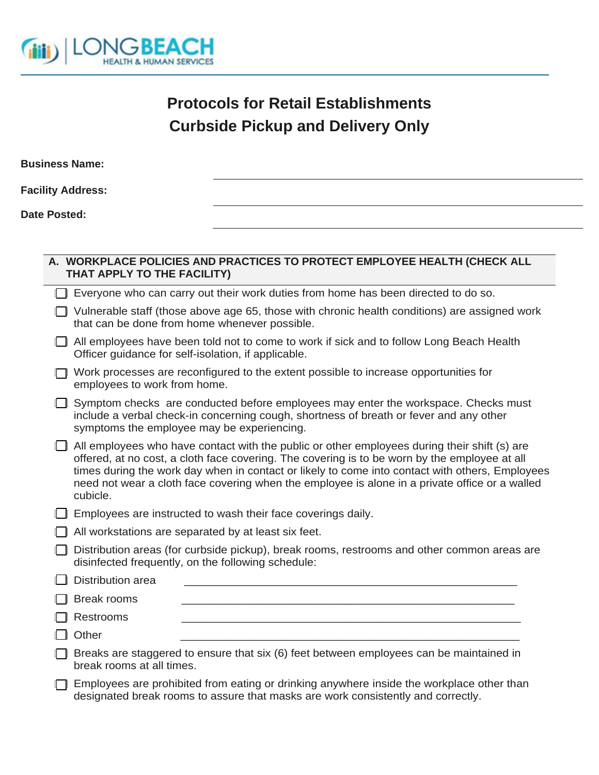

## **Protocols for Retail Establishments Curbside Pickup and Delivery Only**

|              | <b>Business Name:</b>                               |                                                                                               |
|--------------|-----------------------------------------------------|-----------------------------------------------------------------------------------------------|
|              | <b>Facility Address:</b>                            |                                                                                               |
| Date Posted: |                                                     |                                                                                               |
|              |                                                     |                                                                                               |
|              | THAT APPLY TO THE FACILITY)                         | A. WORKPLACE POLICIES AND PRACTICES TO PROTECT EMPLOYEE HEALTH (CHECK ALL                     |
|              |                                                     | Everyone who can carry out their work duties from home has been directed to do so.            |
|              | that can be done from home whenever possible.       | Vulnerable staff (those above age 65, those with chronic health conditions) are assigned work |
|              | Officer guidance for self-isolation, if applicable. | All employees have been told not to come to work if sick and to follow Long Beach Health      |

| $\Box$ Work processes are reconfigured to the extent possible to increase opportunities for |
|---------------------------------------------------------------------------------------------|
| employees to work from home.                                                                |

| Symptom checks are conducted before employees may enter the workspace. Checks must     |
|----------------------------------------------------------------------------------------|
| include a verbal check-in concerning cough, shortness of breath or fever and any other |
| symptoms the employee may be experiencing.                                             |

| $\Box$ All employees who have contact with the public or other employees during their shift (s) are |
|-----------------------------------------------------------------------------------------------------|
| offered, at no cost, a cloth face covering. The covering is to be worn by the employee at all       |
| times during the work day when in contact or likely to come into contact with others, Employees     |
| need not wear a cloth face covering when the employee is alone in a private office or a walled      |
| cubicle.                                                                                            |

## $\Box$  Employees are instructed to wash their face coverings daily.

- $\Box$  All workstations are separated by at least six feet.
- Distribution areas (for curbside pickup), break rooms, restrooms and other common areas are disinfected frequently, on the following schedule:

| $\Box$ Distribution area |                                                                                                    |
|--------------------------|----------------------------------------------------------------------------------------------------|
| $\Box$ Break rooms       |                                                                                                    |
| $\Box$ Restrooms         |                                                                                                    |
| $\Box$ Other             |                                                                                                    |
|                          | $\Box$ Proake are staggered to ensure that $\alpha(x)$ feat between ampleuses can be maintained in |

 $\Box$  Breaks are staggered to ensure that six (6) feet between employees can be maintained in break rooms at all times.

Employees are prohibited from eating or drinking anywhere inside the workplace other than designated break rooms to assure that masks are work consistently and correctly.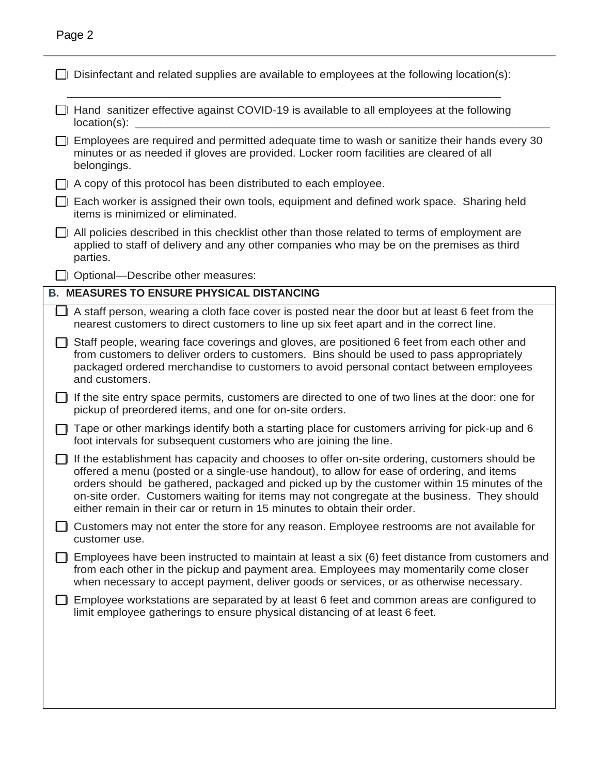| ı |  |
|---|--|
|---|--|

| Disinfectant and related supplies are available to employees at the following location(s):                                                                                                                                                                                                                                                                                                                                                                         |
|--------------------------------------------------------------------------------------------------------------------------------------------------------------------------------------------------------------------------------------------------------------------------------------------------------------------------------------------------------------------------------------------------------------------------------------------------------------------|
| Hand sanitizer effective against COVID-19 is available to all employees at the following<br>$location(s)$ :                                                                                                                                                                                                                                                                                                                                                        |
| Employees are required and permitted adequate time to wash or sanitize their hands every 30<br>minutes or as needed if gloves are provided. Locker room facilities are cleared of all<br>belongings.                                                                                                                                                                                                                                                               |
| A copy of this protocol has been distributed to each employee.                                                                                                                                                                                                                                                                                                                                                                                                     |
| Each worker is assigned their own tools, equipment and defined work space. Sharing held<br>items is minimized or eliminated.                                                                                                                                                                                                                                                                                                                                       |
| All policies described in this checklist other than those related to terms of employment are<br>applied to staff of delivery and any other companies who may be on the premises as third<br>parties.                                                                                                                                                                                                                                                               |
| Optional-Describe other measures:                                                                                                                                                                                                                                                                                                                                                                                                                                  |
| <b>B. MEASURES TO ENSURE PHYSICAL DISTANCING</b>                                                                                                                                                                                                                                                                                                                                                                                                                   |
| A staff person, wearing a cloth face cover is posted near the door but at least 6 feet from the<br>nearest customers to direct customers to line up six feet apart and in the correct line.                                                                                                                                                                                                                                                                        |
| Staff people, wearing face coverings and gloves, are positioned 6 feet from each other and<br>from customers to deliver orders to customers. Bins should be used to pass appropriately<br>packaged ordered merchandise to customers to avoid personal contact between employees<br>and customers.                                                                                                                                                                  |
| If the site entry space permits, customers are directed to one of two lines at the door: one for<br>pickup of preordered items, and one for on-site orders.                                                                                                                                                                                                                                                                                                        |
| Tape or other markings identify both a starting place for customers arriving for pick-up and 6<br>foot intervals for subsequent customers who are joining the line.                                                                                                                                                                                                                                                                                                |
| If the establishment has capacity and chooses to offer on-site ordering, customers should be<br>offered a menu (posted or a single-use handout), to allow for ease of ordering, and items<br>orders should be gathered, packaged and picked up by the customer within 15 minutes of the<br>on-site order. Customers waiting for items may not congregate at the business. They should<br>either remain in their car or return in 15 minutes to obtain their order. |
| Customers may not enter the store for any reason. Employee restrooms are not available for<br>customer use.                                                                                                                                                                                                                                                                                                                                                        |
| Employees have been instructed to maintain at least a six (6) feet distance from customers and<br>from each other in the pickup and payment area. Employees may momentarily come closer<br>when necessary to accept payment, deliver goods or services, or as otherwise necessary.                                                                                                                                                                                 |
| Employee workstations are separated by at least 6 feet and common areas are configured to<br>limit employee gatherings to ensure physical distancing of at least 6 feet.                                                                                                                                                                                                                                                                                           |
|                                                                                                                                                                                                                                                                                                                                                                                                                                                                    |
|                                                                                                                                                                                                                                                                                                                                                                                                                                                                    |
|                                                                                                                                                                                                                                                                                                                                                                                                                                                                    |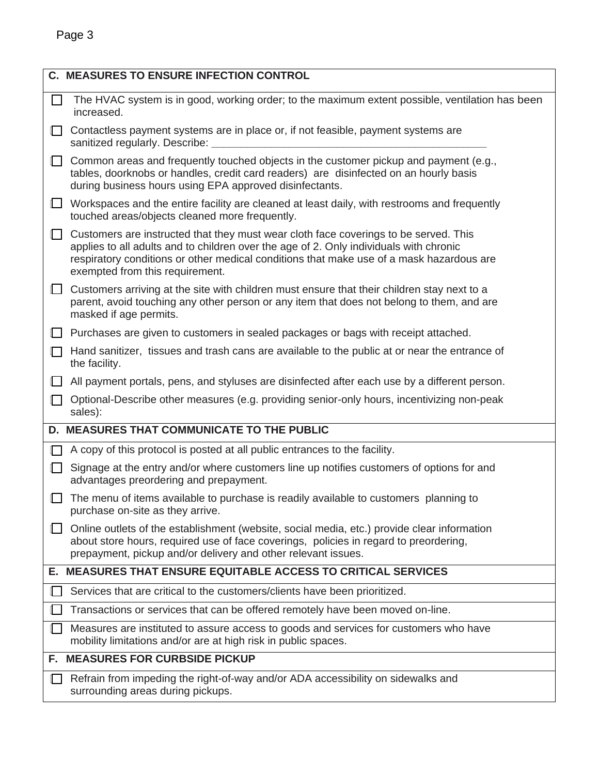|              | <b>C. MEASURES TO ENSURE INFECTION CONTROL</b>                                                                                                                                                                                                                                                                |
|--------------|---------------------------------------------------------------------------------------------------------------------------------------------------------------------------------------------------------------------------------------------------------------------------------------------------------------|
| $\mathbf{L}$ | The HVAC system is in good, working order; to the maximum extent possible, ventilation has been<br>increased.                                                                                                                                                                                                 |
| 1 I          | Contactless payment systems are in place or, if not feasible, payment systems are<br>sanitized regularly. Describe:                                                                                                                                                                                           |
| $\Box$       | Common areas and frequently touched objects in the customer pickup and payment (e.g.,<br>tables, doorknobs or handles, credit card readers) are disinfected on an hourly basis<br>during business hours using EPA approved disinfectants.                                                                     |
| ╙            | Workspaces and the entire facility are cleaned at least daily, with restrooms and frequently<br>touched areas/objects cleaned more frequently.                                                                                                                                                                |
| $\Box$       | Customers are instructed that they must wear cloth face coverings to be served. This<br>applies to all adults and to children over the age of 2. Only individuals with chronic<br>respiratory conditions or other medical conditions that make use of a mask hazardous are<br>exempted from this requirement. |
| ப            | Customers arriving at the site with children must ensure that their children stay next to a<br>parent, avoid touching any other person or any item that does not belong to them, and are<br>masked if age permits.                                                                                            |
| $\mathbb{L}$ | Purchases are given to customers in sealed packages or bags with receipt attached.                                                                                                                                                                                                                            |
| $\Box$       | Hand sanitizer, tissues and trash cans are available to the public at or near the entrance of<br>the facility.                                                                                                                                                                                                |
| $\Box$       | All payment portals, pens, and styluses are disinfected after each use by a different person.                                                                                                                                                                                                                 |
| $\Box$       | Optional-Describe other measures (e.g. providing senior-only hours, incentivizing non-peak<br>sales):                                                                                                                                                                                                         |
|              | D. MEASURES THAT COMMUNICATE TO THE PUBLIC                                                                                                                                                                                                                                                                    |
|              | A copy of this protocol is posted at all public entrances to the facility.                                                                                                                                                                                                                                    |
| $\Box$       | Signage at the entry and/or where customers line up notifies customers of options for and<br>advantages preordering and prepayment.                                                                                                                                                                           |
|              | The menu of items available to purchase is readily available to customers planning to<br>purchase on-site as they arrive.                                                                                                                                                                                     |
|              | Online outlets of the establishment (website, social media, etc.) provide clear information<br>about store hours, required use of face coverings, policies in regard to preordering,<br>prepayment, pickup and/or delivery and other relevant issues.                                                         |
|              | E. MEASURES THAT ENSURE EQUITABLE ACCESS TO CRITICAL SERVICES                                                                                                                                                                                                                                                 |
|              | Services that are critical to the customers/clients have been prioritized.                                                                                                                                                                                                                                    |
|              | Transactions or services that can be offered remotely have been moved on-line.                                                                                                                                                                                                                                |
|              | Measures are instituted to assure access to goods and services for customers who have<br>mobility limitations and/or are at high risk in public spaces.                                                                                                                                                       |
|              | F. MEASURES FOR CURBSIDE PICKUP                                                                                                                                                                                                                                                                               |
|              | Refrain from impeding the right-of-way and/or ADA accessibility on sidewalks and<br>surrounding areas during pickups.                                                                                                                                                                                         |